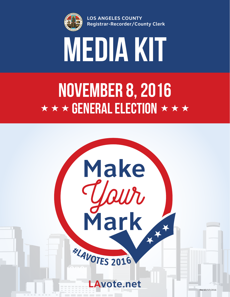

**LOS ANGELES COUNTY Registrar-Recorder/County Clerk**



# $\star \star \star$  GENERAL ELECTION  $\star \star \star$ November 8, 2016

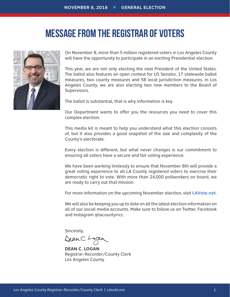### MESSAGE FROM THE REGISTRAR OF VOTERS



On November 8, more than 5 million registered voters in Los Angeles County will have the opportunity to participate in an exciting Presidential election.

This year, we are not only electing the next President of the United States. The ballot also features an open contest for US Senator, 17 statewide ballot measures, two county measures and 58 local jurisdiction measures. In Los Angeles County, we are also electing two new members to the Board of Supervisors.

The ballot is substantial, that is why information is key.

Our Department wants to offer you the resources you need to cover this complex election.

This media kit is meant to help you understand what this election consists of, but it also provides a good snapshot of the size and complexity of the County's electorate.

Every election is different, but what never changes is our commitment to ensuring all voters have a secure and fair voting experience.

We have been working tirelessly to ensure that November 8th will provide a great voting experience to all LA County registered voters to exercise their democratic right to vote. With more than 24,000 pollworkers on board, we are ready to carry out that mission.

For more information on the upcoming November election, visit **LAVote.net**.

We will also be keeping you up to date on all the latest election information on all of our social media accounts. Make sure to follow us on Twitter, Facebook and Instagram @lacountyrrcc.

Sincerely,

DeanC.L

**DEAN C. LOGAN** Registrar-Recorder/County Clerk Los Angeles County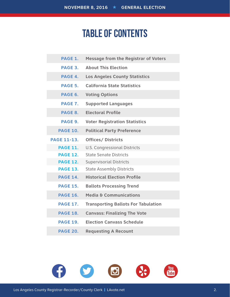### TABLE OF CONTENTS

| PAGE 1.            | <b>Message from the Registrar of Voters</b> |
|--------------------|---------------------------------------------|
| PAGE 3.            | <b>About This Election</b>                  |
| PAGE 4.            | <b>Los Angeles County Statistics</b>        |
| PAGE 5.            | <b>California State Statistics</b>          |
| PAGE 6.            | <b>Voting Options</b>                       |
| PAGE 7.            | <b>Supported Languages</b>                  |
| PAGE 8.            | <b>Electoral Profile</b>                    |
| PAGE 9.            | <b>Voter Registration Statistics</b>        |
| <b>PAGE 10.</b>    | <b>Political Party Preference</b>           |
| <b>PAGE 11-13.</b> | <b>Offices/ Districts</b>                   |
| <b>PAGE 11.</b>    | <b>U.S. Congressional Districts</b>         |
| <b>PAGE 12.</b>    | <b>State Senate Districts</b>               |
| <b>PAGE 12.</b>    | <b>Supervisorial Districts</b>              |
| <b>PAGE 13.</b>    | <b>State Assembly Districts</b>             |
| <b>PAGE 14.</b>    | <b>Historical Election Profile</b>          |
| <b>PAGE 15.</b>    | <b>Ballots Processing Trend</b>             |
| <b>PAGE 16.</b>    | Media & Communications                      |
| <b>PAGE 17.</b>    | <b>Transporting Ballots For Tabulation</b>  |
| <b>PAGE 18.</b>    | <b>Canvass: Finalizing The Vote</b>         |
| <b>PAGE 19.</b>    | <b>Election Canvass Schedule</b>            |
| <b>PAGE 20.</b>    | <b>Requesting A Recount</b>                 |

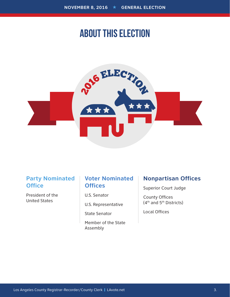### ABOUT THIS ELECTION



### **Party Nominated Office**

President of the United States

#### **Voter Nominated Offices**

U.S. Senator

U.S. Representative

State Senator

Member of the State Assembly

#### **Nonpartisan Offices**

Superior Court Judge

County Offices (4th and 5th Districts)

Local Offices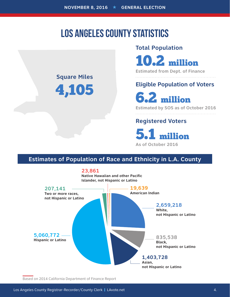### LOS ANGELES COUNTY STATISTICS

### **Square Miles** 4,105

#### **Total Population**

10.2 million

**Estimated from Dept. of Finance**

### **Eligible Population of Voters**

6.2 million

**Estimated by SOS as of October 2016**

#### **Registered Voters**

5.1 million

**As of October 2016**

#### **Estimates of Population of Race and Ethnicity in L.A. County**



Based on 2014 California Department of Finance Report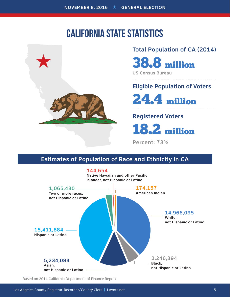### CALIFORNIA STATE STATISTICS



#### **Total Population of CA (2014)**

38.8 million

**US Census Bureau**

### **Eligible Population of Voters**

24.4 million

### **Registered Voters**

18.2 million

**Percent: 73%**

### **Estimates of Population of Race and Ethnicity in CA**



Based on 2014 California Department of Finance Report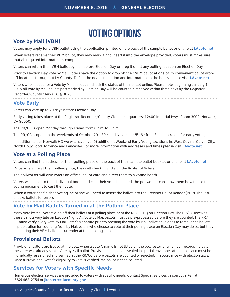## VOTING OPTIONS

#### **Vote by Mail (VBM)**

Voters may apply for a VBM ballot using the application printed on the back of the sample ballot or online at **LAvote.net**.

When voters receive their VBM ballot, they may mark it and insert it into the envelope provided. Voters must make sure that all required information is completed.

Voters can return their VBM ballot by mail before Election Day or drop it off at any polling location on Election Day.

Prior to Election Day Vote by Mail voters have the option to drop off their VBM ballot at one of 76 convenient ballot dropoff locations throughout LA County. To find the nearest location and information on the hours, please visit **LAvote.net**.

Voters who applied for a Vote by Mail ballot can check the status of their ballot online. Please note, beginning January 1, 2015 all Vote by Mail ballots postmarked by Election Day will be counted if received within three days by the Registrar-Recorder/County Clerk (E.C. § 3020).

#### **Vote Early**

Voters can vote up to 29 days before Election Day.

Early voting takes place at the Registrar-Recorder/County Clerk headquarters: 12400 Imperial Hwy., Room 3002, Norwalk, CA 90650.

The RR/CC is open Monday through Friday, from 8 a.m. to 5 p.m.

The RR/CC is open on the weekends of October 29<sup>th</sup>-30<sup>th</sup>, and November 5<sup>th</sup>-6<sup>th</sup> from 8 a.m. to 4 p.m. for early voting.

In addition to our Norwalk HQ we will have five (5) additional Weekend Early Voting locations in: West Covina, Culver City, North Hollywood, Torrance and Lancaster. For more information with addresses and times please visit **LAvote.net**.

#### **Vote at a Polling Place**

Voters can find the address for their polling place on the back of their sample ballot booklet or online at **LAvote.net**.

Once voters are at their polling place, they will check in and sign the Roster of Voters.

The pollworker will give voters an official ballot card and direct them to a voting booth.

Voters will step into their individual booth and cast their vote. If needed, the pollworker can show them how to use the voting equipment to cast their vote.

When a voter has finished voting, he or she will need to insert the ballot into the Precinct Ballot Reader (PBR). The PBR checks ballots for errors.

#### **Vote by Mail Ballots Turned in at the Polling Place**

Many Vote by Mail voters drop off their ballots at a polling place or at the RR/CC HQ on Election Day. The RR/CC receives these ballots very late on Election Night. All Vote by Mail ballots must be pre-processed before they are counted. The RR/ CC must verify every Vote by Mail voter's signature prior to opening the Vote by Mail ballot envelopes to remove the ballots in preparation for counting. Vote by Mail voters who choose to vote at their polling place on Election Day may do so, but they must bring their VBM ballot to surrender at their polling place.

#### **Provisional Ballots**

Provisional ballots are issued at the polls when a voter's name is not listed on the poll roster, or when our records indicate the voter was already sent a Vote by Mail ballot. Provisional ballots are sealed in special envelopes at the polls and must be individually researched and verified at the RR/CC before ballots are counted or rejected, in accordance with election laws. Once a Provisional voter's eligibility to vote is verified, the ballot is then counted.

#### **Services for Voters with Specific Needs**

Numerous election services are provided to voters with specific needs. Contact Special Services liaison Julia Keh at (562) 462-2754 or **jkeh@rrcc.lacounty.gov**.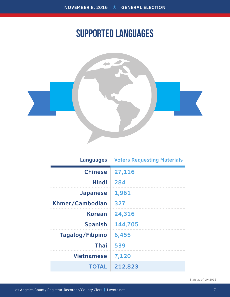### SUPPORTED LANGUAGES



| <b>Languages</b>  | <b>Voters Requesting Materials</b> |
|-------------------|------------------------------------|
| <b>Chinese</b>    | 27,116                             |
| <b>Hindi</b>      | 284                                |
| <b>Japanese</b>   | 1,961                              |
| Khmer/Cambodian   | 327                                |
| <b>Korean</b>     | 24,316                             |
| <b>Spanish</b>    | 144,705                            |
| Tagalog/Filipino  | 6,455                              |
| <b>Thai</b>       | 539                                |
| <b>Vietnamese</b> | 7,120                              |
| <b>TOTAL</b>      | 212,823                            |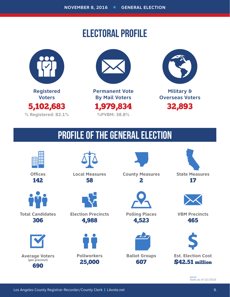## ELECTORAL PROFILE





**Permanent Vote By Mail Voters** 1,979,834 **%PVBM: 38.8%**



**Military & Overseas Voters** 32,893

## PROFILE OF THE GENERAL ELECTION



**Offices** 142



**Total Candidates** 306



**Average Voters (per precinct)** 690



**Local Measures** 58



**Election Precincts** 4,988



**County Measures** 2



**Polling Places** 4,523



607

465

**VBM Precincts**

**State Measures** 17

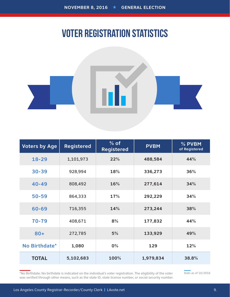### VOTER REGISTRATION STATISTICS



| <b>Voters by Age</b> | <b>Registered</b> | $%$ of<br><b>Registered</b> | <b>PVBM</b> | % PVBM<br>of Registered |
|----------------------|-------------------|-----------------------------|-------------|-------------------------|
| $18 - 29$            | 1,101,973         | 22%                         | 488,584     | 44%                     |
| $30 - 39$            | 928,994           | 18%                         | 336,273     | 36%                     |
| $40 - 49$            | 808,492           | 16%                         | 277,614     | 34%                     |
| $50 - 59$            | 864,333           | 17%                         | 292,229     | 34%                     |
| 60-69                | 716,355           | 14%                         | 273,244     | 38%                     |
| 70-79                | 408,671           | 8%                          | 177,832     | 44%                     |
| $80 +$               | 272,785           | 5%                          | 133,929     | 49%                     |
| No Birthdate*        | 1,080             | $0\%$                       | 129         | 12%                     |
| <b>TOTAL</b>         | 5,102,683         | 100%                        | 1,979,834   | 38.8%                   |

\*No Birthdate: No birthdate is indicated on the individual's voter registration. The eligibility of the voter was verified through other means, such as the state ID, state license number, or social security number.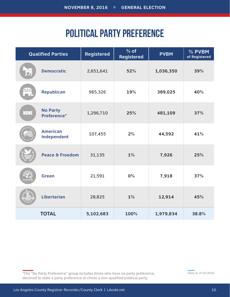## POLITICAL PARTY PREFERENCE

|              | <b>Qualified Parties</b>       | <b>Registered</b> | $%$ of<br><b>Registered</b> | <b>PVBM</b> | % PVBM<br>of Registered |
|--------------|--------------------------------|-------------------|-----------------------------|-------------|-------------------------|
|              | <b>Democratic</b>              | 2,651,641         | 52%                         | 1,036,350   | 39%                     |
| $***$<br>m i | Republican                     | 965,326           | 19%                         | 389,025     | 40%                     |
| <b>NONE</b>  | <b>No Party</b><br>Preference* | 1,296,710         | 25%                         | 481,109     | 37%                     |
|              | <b>American</b><br>Independent | 107,455           | 2%                          | 44,592      | 41%                     |
|              | Peace & Freedom                | 31,135            | 1%                          | 7,926       | 25%                     |
|              | <b>Green</b>                   | 21,591            | 0%                          | 7,918       | 37%                     |
|              | <b>Libertarian</b>             | 28,825            | 1%                          | 12,914      | 45%                     |
|              | <b>TOTAL</b>                   | 5,102,683         | 100%                        | 1,979,834   | 38.8%                   |

\*The "No Party Preference" group includes those who have no party preference, declined to state a party preference or chose a non-qualified political party.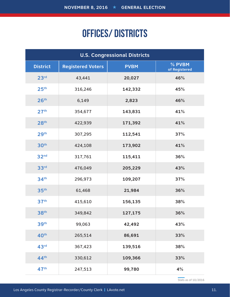## OFFICES/ DISTRICTS

| <b>U.S. Congressional Districts</b> |                          |             |                         |
|-------------------------------------|--------------------------|-------------|-------------------------|
| <b>District</b>                     | <b>Registered Voters</b> | <b>PVBM</b> | % PVBM<br>of Registered |
| 23 <sup>rd</sup>                    | 43,441                   | 20,027      | 46%                     |
| 25 <sup>th</sup>                    | 316,246                  | 142,332     | 45%                     |
| 26 <sup>th</sup>                    | 6,149                    | 2,823       | 46%                     |
| 27 <sup>th</sup>                    | 354,677                  | 143,831     | 41%                     |
| 28 <sup>th</sup>                    | 422,939                  | 171,392     | 41%                     |
| 29 <sup>th</sup>                    | 307,295                  | 112,541     | 37%                     |
| 30 <sup>th</sup>                    | 424,108                  | 173,902     | 41%                     |
| 32 <sup>nd</sup>                    | 317,761                  | 115,411     | 36%                     |
| 33rd                                | 476,049                  | 205,229     | 43%                     |
| 34 <sup>th</sup>                    | 296,973                  | 109,207     | 37%                     |
| 35 <sup>th</sup>                    | 61,468                   | 21,984      | 36%                     |
| 37 <sup>th</sup>                    | 415,610                  | 156,135     | 38%                     |
| 38 <sup>th</sup>                    | 349,842                  | 127,175     | 36%                     |
| 39th                                | 99,063                   | 42,492      | 43%                     |
| 40 <sup>th</sup>                    | 265,514                  | 86,691      | 33%                     |
| 43rd                                | 367,423                  | 139,516     | 38%                     |
| 44 <sup>th</sup>                    | 330,612                  | 109,366     | 33%                     |
| 47 <sup>th</sup>                    | 247,513                  | 99,780      | 4%                      |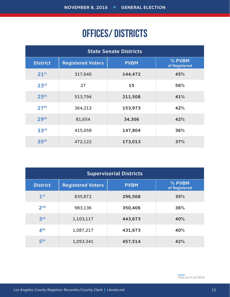## OFFICES/ DISTRICTS

| <b>State Senate Districts</b> |                          |             |                         |
|-------------------------------|--------------------------|-------------|-------------------------|
| <b>District</b>               | <b>Registered Voters</b> | <b>PVBM</b> | % PVBM<br>of Registered |
| 21 <sup>st</sup>              | 317,640                  | 144,472     | 45%                     |
| 23 <sup>rd</sup>              | 27                       | 15          | 56%                     |
| 25 <sup>th</sup>              | 513,794                  | 211,508     | 41%                     |
| 27 <sup>th</sup>              | 364,213                  | 153,973     | 42%                     |
| 29 <sup>th</sup>              | 81,654                   | 34,306      | 42%                     |
| 33 <sup>rd</sup>              | 415,058                  | 147,804     | 36%                     |
| 35 <sup>th</sup>              | 472,122                  | 173,013     | 37%                     |

| <b>Supervisorial Districts</b> |                          |             |                         |
|--------------------------------|--------------------------|-------------|-------------------------|
| <b>District</b>                | <b>Registered Voters</b> | <b>PVBM</b> | % PVBM<br>of Registered |
| 1 <sup>st</sup>                | 835,872                  | 296,568     | 35%                     |
| 2 <sub>nd</sub>                | 983,136                  | 350,406     | 36%                     |
| 3 <sup>rd</sup>                | 1,103,117                | 443,673     | 40%                     |
| 4 <sup>th</sup>                | 1,087,217                | 431,673     | 40%                     |
| 5 <sup>th</sup>                | 1,093,341                | 457,514     | 42%                     |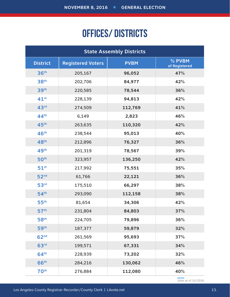## OFFICES/ DISTRICTS

| <b>State Assembly Districts</b> |                          |             |                         |
|---------------------------------|--------------------------|-------------|-------------------------|
| <b>District</b>                 | <b>Registered Voters</b> | <b>PVBM</b> | % PVBM<br>of Registered |
| 36 <sup>th</sup>                | 205,167                  | 96,052      | 47%                     |
| 38 <sup>th</sup>                | 202,706                  | 84,977      | 42%                     |
| 39 <sup>th</sup>                | 220,585                  | 78,544      | 36%                     |
| $41^{st}$                       | 228,139                  | 94,813      | 42%                     |
| 43rd                            | 274,509                  | 112,769     | 41%                     |
| 44 <sup>th</sup>                | 6,149                    | 2,823       | 46%                     |
| 45 <sup>th</sup>                | 263,635                  | 110,320     | 42%                     |
| 46 <sup>th</sup>                | 238,544                  | 95,013      | 40%                     |
| 48 <sup>th</sup>                | 212,896                  | 76,327      | 36%                     |
| 49 <sup>th</sup>                | 201,319                  | 78,567      | 39%                     |
| 50 <sup>th</sup>                | 323,957                  | 136,250     | 42%                     |
| $51^{st}$                       | 217,992                  | 75,551      | 35%                     |
| 52 <sup>nd</sup>                | 61,766                   | 22,121      | 36%                     |
| 53 <sup>rd</sup>                | 175,510                  | 66,297      | 38%                     |
| 54 <sup>th</sup>                | 293,090                  | 112,158     | 38%                     |
| 55 <sup>th</sup>                | 81,654                   | 34,306      | 42%                     |
| 57 <sup>th</sup>                | 231,804                  | 84,803      | 37%                     |
| 58 <sup>th</sup>                | 224,705                  | 79,896      | 36%                     |
| 59 <sup>th</sup>                | 187,377                  | 59,879      | 32%                     |
| 62 <sup>nd</sup>                | 261,569                  | 95,693      | 37%                     |
| 63 <sup>rd</sup>                | 199,571                  | 67,331      | 34%                     |
| 64 <sup>th</sup>                | 228,939                  | 73,202      | 32%                     |
| 66 <sup>th</sup>                | 284,216                  | 130,062     | 46%                     |
| <b>70th</b>                     | 276,884                  | 112,080     | 40%                     |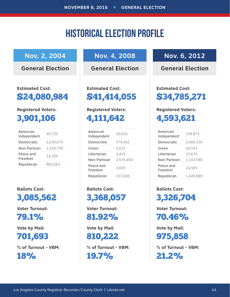### HISTORICAL ELECTION PROFILE

### **Nov. 2, 2004**

**General Election**

**Estimated Cost:**  \$24,080,984

#### **Registered Voters:**

3,901,106

| American<br>Independent | 46,720    |
|-------------------------|-----------|
| Democratic              | 1,630,670 |
| Non-Partisan            | 1,518,799 |
| Peace and<br>Freedom    | 14,350    |
| Republican              | 882,082   |

**Ballots Cast:** 

3,085,562

**Voter Turnout:** 

79.1%

**Vote by Mail:** 

### 701,693

**% of Turnout - VBM:**  18%

### **Nov. 4, 2008**

**General Election**

**Estimated Cost:**  \$41,414,055

#### **Registered Voters:**

4,111,642

| American<br>Independent | 20.024    |
|-------------------------|-----------|
| Democratic              | 576.901   |
| Green                   | 5,037     |
| Libertarian             | 4.419     |
| Non-Partisan            | 2,535,456 |
| Peace and<br>Freedom    | 3.605     |
| Republican              | 331,606   |

**Ballots Cast:**  3,368,057

**Voter Turnout:** 

81.92%

**Vote by Mail:** 

810,222

**% of Turnout - VBM:**  19.7%

### **Nov. 6, 2012**

**General Election**

**Estimated Cost:**  \$34,785,271

#### **Registered Voters:**

4,593,621

| American<br>Independent | 108.871   |
|-------------------------|-----------|
| Democratic              | 2,486,330 |
| Green                   | 24,543    |
| I ibertarian            | 25,674    |
| Non-Partisan            | 1,143,586 |
| Peace and<br>Freedom    | 24,585    |
| Republican              | 1,049,889 |

**Ballots Cast:**  3,326,704

**Voter Turnout:**  70.46%

**Vote by Mail:** 

975,858

**% of Turnout - VBM:**  21.2%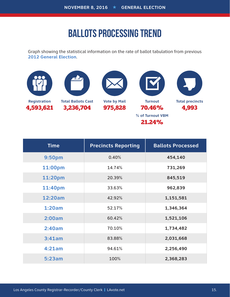### BALLOTS PROCESSING TREND

Graph showing the statistical information on the rate of ballot tabulation from previous **2012 General Election**.



| <b>Time</b> | <b>Precincts Reporting</b> | <b>Ballots Processed</b> |
|-------------|----------------------------|--------------------------|
| 9:50pm      | 0.40%                      | 454,140                  |
| 11:00pm     | 14.74%                     | 731,269                  |
| 11:20pm     | 20.39%                     | 845,519                  |
| 11:40pm     | 33.63%                     | 962,839                  |
| 12:20am     | 42.92%                     | 1,151,581                |
| 1:20am      | 52.17%                     | 1,346,364                |
| 2:00am      | 60.42%                     | 1,521,106                |
| 2:40am      | 70.10%                     | 1,734,482                |
| 3:41am      | 83.88%                     | 2,031,668                |
| 4:21am      | 94.61%                     | 2,256,490                |
| 5:23am      | 100%                       | 2,368,283                |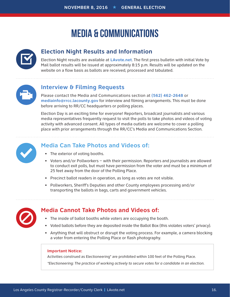## MEDIA & COMMUNICATIONS



#### **Election Night Results and Information**

Election Night results are available at **LAvote.net**. The first press bulletin with initial Vote by Mail ballot results will be issued at approximately 8:15 p.m. Results will be updated on the website on a flow basis as ballots are received, processed and tabulated.



#### **Interview & Filming Requests**

Please contact the Media and Communications section at **(562) 462-2648** or **mediainfo@rrcc.lacounty.gov** for interview and filming arrangements. This must be done before arriving to RR/CC headquarters or polling places.

Election Day is an exciting time for everyone! Reporters, broadcast journalists and various media representatives frequently request to visit the polls to take photos and videos of voting activity with advanced consent. All types of media outlets are welcome to cover a polling place with prior arrangements through the RR/CC's Media and Communications Section.



#### **Media Can Take Photos and Videos of:**

- The exterior of voting booths.
- Voters and/or Pollworkers with their permission. Reporters and journalists are allowed to conduct exit polls, but must have permission from the voter and must be a minimum of 25 feet away from the door of the Polling Place.
- Precinct ballot readers in operation, as long as votes are not visible.
- Pollworkers, Sheriff's Deputies and other County employees processing and/or transporting the ballots in bags, carts and government vehicles.



#### **Media Cannot Take Photos and Videos of:**

- The inside of ballot booths while voters are occupying the booth.
- Voted ballots before they are deposited inside the Ballot Box (this violates voters' privacy).
- Anything that will obstruct or disrupt the voting process. For example, a camera blocking a voter from entering the Polling Place or flash photography.

#### **Important Notice:**

Activities construed as Electioneering\* are prohibited within 100 feet of the Polling Place.

*\*Electioneering: The practice of working actively to secure votes for a candidate in an election.*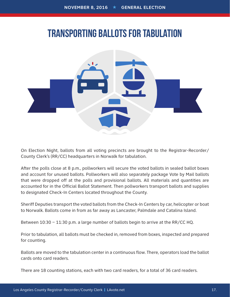### TRANSPORTING BALLOTS FOR TABULATION



On Election Night, ballots from all voting precincts are brought to the Registrar-Recorder/ County Clerk's (RR/CC) headquarters in Norwalk for tabulation.

After the polls close at 8 p.m., pollworkers will secure the voted ballots in sealed ballot boxes and account for unused ballots. Pollworkers will also separately package Vote by Mail ballots that were dropped off at the polls and provisional ballots. All materials and quantities are accounted for in the Official Ballot Statement. Then pollworkers transport ballots and supplies to designated Check-In Centers located throughout the County.

Sheriff Deputies transport the voted ballots from the Check-In Centers by car, helicopter or boat to Norwalk. Ballots come in from as far away as Lancaster, Palmdale and Catalina Island.

Between 10:30 – 11:30 p.m. a large number of ballots begin to arrive at the RR/CC HQ.

Prior to tabulation, all ballots must be checked in, removed from boxes, inspected and prepared for counting.

Ballots are moved to the tabulation center in a continuous flow. There, operators load the ballot cards onto card readers.

There are 18 counting stations, each with two card readers, for a total of 36 card readers.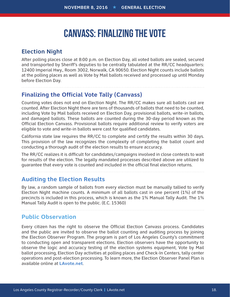### CANVASS: FINALIZING THE VOTE

#### **Election Night**

After polling places close at 8:00 p.m. on Election Day, all voted ballots are sealed, secured and transported by Sheriff's deputies to be centrally tabulated at the RR/CC headquarters: 12400 Imperial Hwy., Room 3002, Norwalk, CA 90650. Election Night counts include ballots at the polling places as well as Vote by Mail ballots received and processed up until Monday before Election Day.

#### **Finalizing the Official Vote Tally (Canvass)**

Counting votes does not end on Election Night. The RR/CC makes sure all ballots cast are counted. After Election Night there are tens of thousands of ballots that need to be counted, including Vote by Mail ballots received on Election Day, provisional ballots, write-in ballots, and damaged ballots. These ballots are counted during the 30-day period known as the Official Election Canvass. Provisional ballots require additional review to verify voters are eligible to vote and write-in ballots were cast for qualified candidates.

California state law requires the RR/CC to complete and certify the results within 30 days. This provision of the law recognizes the complexity of completing the ballot count and conducting a thorough audit of the election results to ensure accuracy.

The RR/CC realizes it is difficult for candidates/campaigns involved in close contests to wait for results of the election. The legally mandated processes described above are utilized to guarantee that every vote is counted and included in the official final election returns.

#### **Auditing the Election Results**

By law, a random sample of ballots from every election must be manually tallied to verify Election Night machine counts. A minimum of all ballots cast in one percent (1%) of the precincts is included in this process, which is known as the 1% Manual Tally Audit. The 1% Manual Tally Audit is open to the public. (E.C. 15360)

**Public Observation**

Every citizen has the right to observe the Official Election Canvass process. Candidates and the public are invited to observe the ballot counting and auditing process by joining the Election Observer Program. The program is part of Los Angeles County's commitment to conducting open and transparent elections. Election observers have the opportunity to observe the logic and accuracy testing of the election systems equipment, Vote by Mail ballot processing, Election Day activities at polling places and Check-In Centers, tally center operations and post-election processing. To learn more, the Election Observer Panel Plan is available online at **LAvote.net**.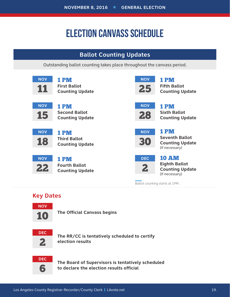## ELECTION CANVASS SCHEDULE

### **Ballot Counting Updates**

Outstanding ballot counting takes place throughout the canvass period.

| <b>NOV</b><br>11              | 1PM<br><b>First Ballot</b><br><b>Counting Update</b>   | <b>NOV</b><br>25           | <b>1 PM</b><br><b>Fifth Ballot</b><br><b>Counting Update</b>                     |
|-------------------------------|--------------------------------------------------------|----------------------------|----------------------------------------------------------------------------------|
| <b>NOV</b><br>15              | 1 PM<br><b>Second Ballot</b><br><b>Counting Update</b> | <b>NOV</b><br>28           | 1 PM<br><b>Sixth Ballot</b><br><b>Counting Update</b>                            |
| <b>NOV</b><br>18              | 1 PM<br><b>Third Ballot</b><br><b>Counting Update</b>  | <b>NOV</b><br><b>B{0</b>   | <b>1 PM</b><br><b>Seventh Ballot</b><br><b>Counting Update</b><br>(If necessary) |
| <b>NOV</b>                    | 1 PM<br><b>Fourth Ballot</b><br><b>Counting Update</b> | <b>DEC</b><br>$\mathbf{2}$ | <b>10 AM</b><br><b>Eighth Ballot</b><br><b>Counting Update</b><br>(If necessary) |
| $\mathbf{r}$ and $\mathbf{r}$ | Ballot counting starts at 1PM.                         |                            |                                                                                  |

#### **Key Dates**



**The Official Canvass begins**



**The RR/CC is tentatively scheduled to certify election results**



**The Board of Supervisors is tentatively scheduled to declare the election results official**